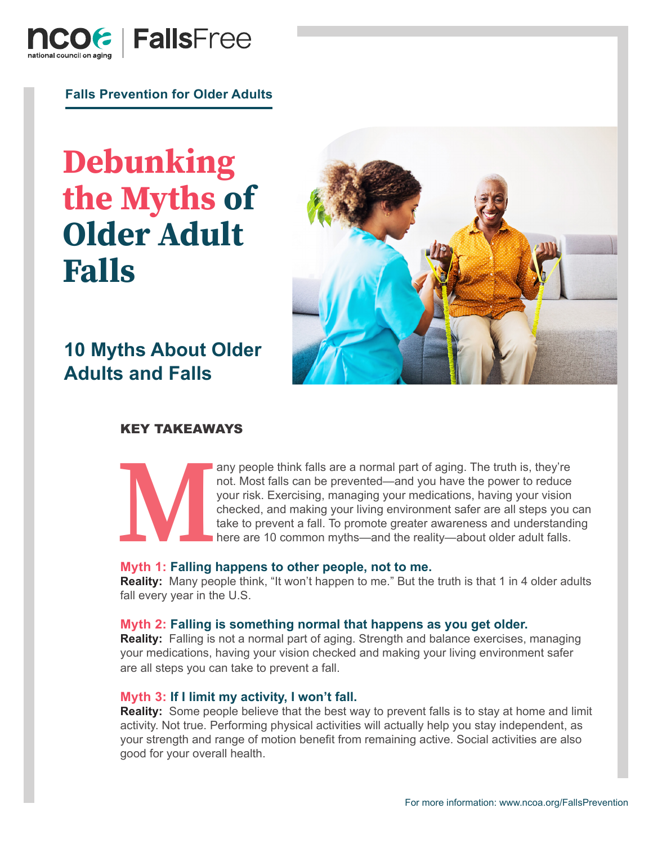

**Falls Prevention for Older Adults**

# **Debunking the Myths of Older Adult Falls**



# **10 Myths About Older Adults and Falls**

# KEY TAKEAWAYS

any people think falls are a normal part of aging. The truth is, they're<br>not. Most falls can be prevented—and you have the power to reduce<br>your risk. Exercising, managing your medications, having your vision<br>checked, and m not. Most falls can be prevented—and you have the power to reduce your risk. Exercising, managing your medications, having your vision checked, and making your living environment safer are all steps you can take to prevent a fall. To promote greater awareness and understanding here are 10 common myths—and the reality—about older adult falls.

# **Myth 1: Falling happens to other people, not to me.**

**Reality:** Many people think, "It won't happen to me." But the truth is that 1 in 4 older adults fall every year in the U.S.

#### **Myth 2: Falling is something normal that happens as you get older.**

**Reality:** Falling is not a normal part of aging. Strength and balance exercises, managing your medications, having your vision checked and making your living environment safer are all steps you can take to prevent a fall.

# **Myth 3: If I limit my activity, I won't fall.**

**Reality:** Some people believe that the best way to prevent falls is to stay at home and limit activity. Not true. Performing physical activities will actually help you stay independent, as your strength and range of motion benefit from remaining active. Social activities are also good for your overall health.